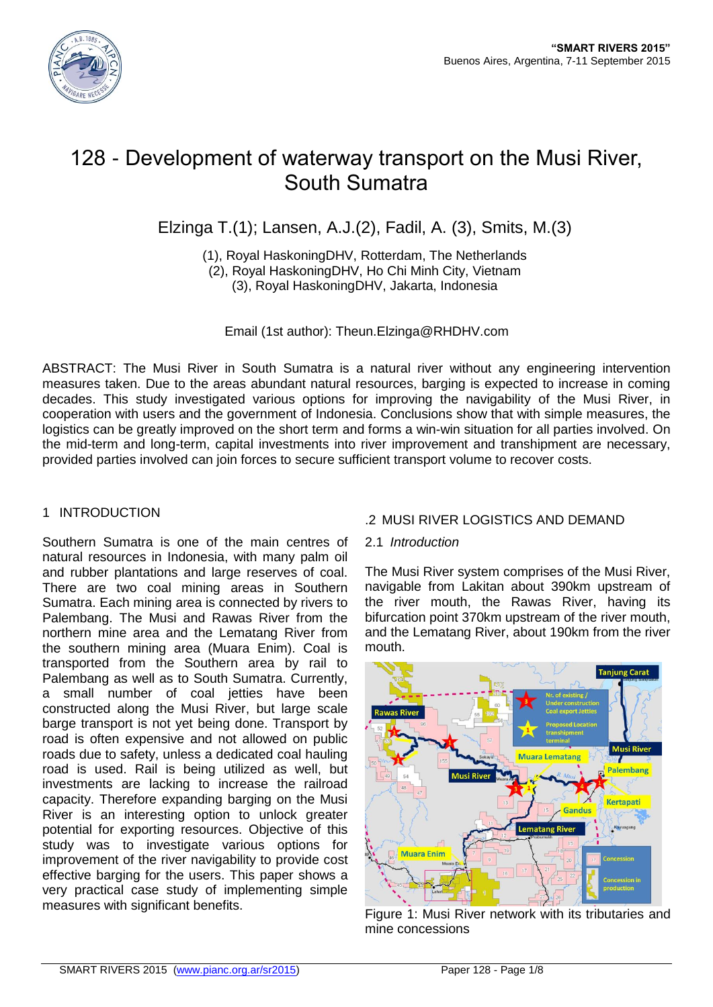

# 128 - Development of waterway transport on the Musi River, South Sumatra

Elzinga T.(1); Lansen, A.J.(2), Fadil, A. (3), Smits, M.(3)

(1), Royal HaskoningDHV, Rotterdam, The Netherlands (2), Royal HaskoningDHV, Ho Chi Minh City, Vietnam (3), Royal HaskoningDHV, Jakarta, Indonesia

Email (1st author): Theun.Elzinga@RHDHV.com

ABSTRACT: The Musi River in South Sumatra is a natural river without any engineering intervention measures taken. Due to the areas abundant natural resources, barging is expected to increase in coming decades. This study investigated various options for improving the navigability of the Musi River, in cooperation with users and the government of Indonesia. Conclusions show that with simple measures, the logistics can be greatly improved on the short term and forms a win-win situation for all parties involved. On the mid-term and long-term, capital investments into river improvement and transhipment are necessary, provided parties involved can join forces to secure sufficient transport volume to recover costs.

# 1 INTRODUCTION

Southern Sumatra is one of the main centres of natural resources in Indonesia, with many palm oil and rubber plantations and large reserves of coal. There are two coal mining areas in Southern Sumatra. Each mining area is connected by rivers to Palembang. The Musi and Rawas River from the northern mine area and the Lematang River from the southern mining area (Muara Enim). Coal is transported from the Southern area by rail to Palembang as well as to South Sumatra. Currently, a small number of coal jetties have been constructed along the Musi River, but large scale barge transport is not yet being done. Transport by road is often expensive and not allowed on public roads due to safety, unless a dedicated coal hauling road is used. Rail is being utilized as well, but investments are lacking to increase the railroad capacity. Therefore expanding barging on the Musi River is an interesting option to unlock greater potential for exporting resources. Objective of this study was to investigate various options for improvement of the river navigability to provide cost effective barging for the users. This paper shows a very practical case study of implementing simple measures with significant benefits.

# .2 MUSI RIVER LOGISTICS AND DEMAND

### 2.1 *Introduction*

The Musi River system comprises of the Musi River, navigable from Lakitan about 390km upstream of the river mouth, the Rawas River, having its bifurcation point 370km upstream of the river mouth, and the Lematang River, about 190km from the river mouth.



Figure 1: Musi River network with its tributaries and mine concessions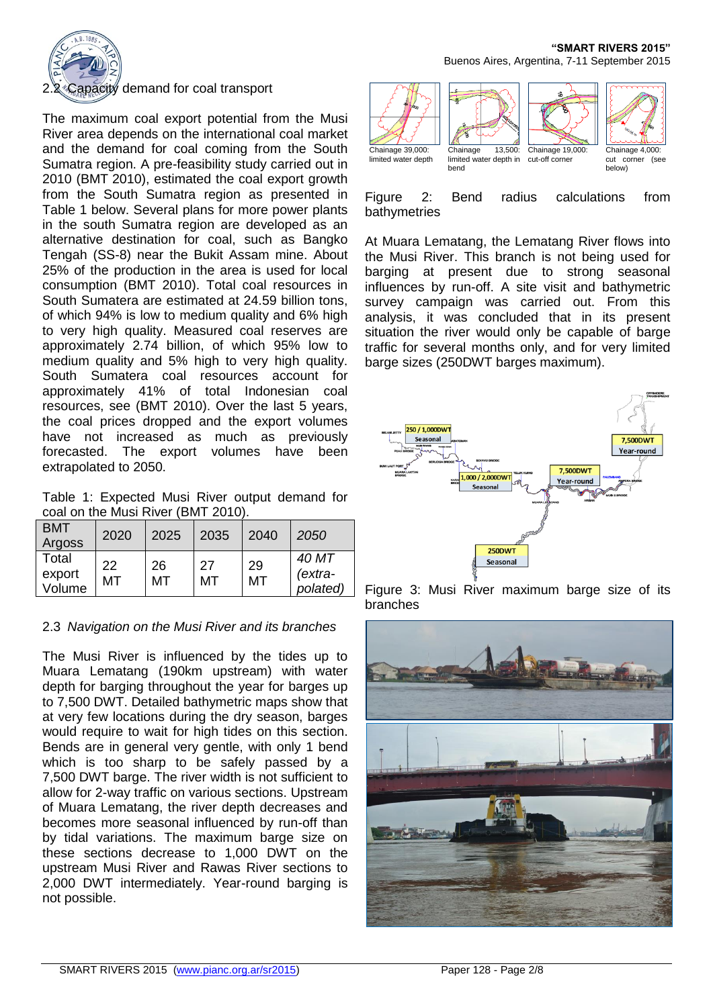

#### 2.2 Capacity demand for coal transport

The maximum coal export potential from the Musi River area depends on the international coal market and the demand for coal coming from the South Sumatra region. A pre-feasibility study carried out in 2010 (BMT 2010), estimated the coal export growth from the South Sumatra region as presented in Table 1 below. Several plans for more power plants in the south Sumatra region are developed as an alternative destination for coal, such as Bangko Tengah (SS-8) near the Bukit Assam mine. About 25% of the production in the area is used for local consumption (BMT 2010). Total coal resources in South Sumatera are estimated at 24.59 billion tons, of which 94% is low to medium quality and 6% high to very high quality. Measured coal reserves are approximately 2.74 billion, of which 95% low to medium quality and 5% high to very high quality. South Sumatera coal resources account for approximately 41% of total Indonesian coal resources, see (BMT 2010). Over the last 5 years, the coal prices dropped and the export volumes have not increased as much as previously forecasted. The export volumes have been extrapolated to 2050.

Table 1: Expected Musi River output demand for coal on the Musi River (BMT 2010).

| <b>BMT</b><br>Argoss      | 2020     | 2025     | 2035     | 2040     | 2050                         |
|---------------------------|----------|----------|----------|----------|------------------------------|
| Total<br>export<br>Volume | 22<br>МΤ | 26<br>МT | 27<br>МT | 29<br>MT | 40 MT<br>(extra-<br>polated) |

#### 2.3 *Navigation on the Musi River and its branches*

The Musi River is influenced by the tides up to Muara Lematang (190km upstream) with water depth for barging throughout the year for barges up to 7,500 DWT. Detailed bathymetric maps show that at very few locations during the dry season, barges would require to wait for high tides on this section. Bends are in general very gentle, with only 1 bend which is too sharp to be safely passed by a 7,500 DWT barge. The river width is not sufficient to allow for 2-way traffic on various sections. Upstream of Muara Lematang, the river depth decreases and becomes more seasonal influenced by run-off than by tidal variations. The maximum barge size on these sections decrease to 1,000 DWT on the upstream Musi River and Rawas River sections to 2,000 DWT intermediately. Year-round barging is not possible.

#### **"SMART RIVERS 2015"** Buenos Aires, Argentina, 7-11 September 2015



Figure 2: Bend radius calculations from bathymetries

At Muara Lematang, the Lematang River flows into the Musi River. This branch is not being used for barging at present due to strong seasonal influences by run-off. A site visit and bathymetric survey campaign was carried out. From this analysis, it was concluded that in its present situation the river would only be capable of barge traffic for several months only, and for very limited barge sizes (250DWT barges maximum).



Figure 3: Musi River maximum barge size of its branches

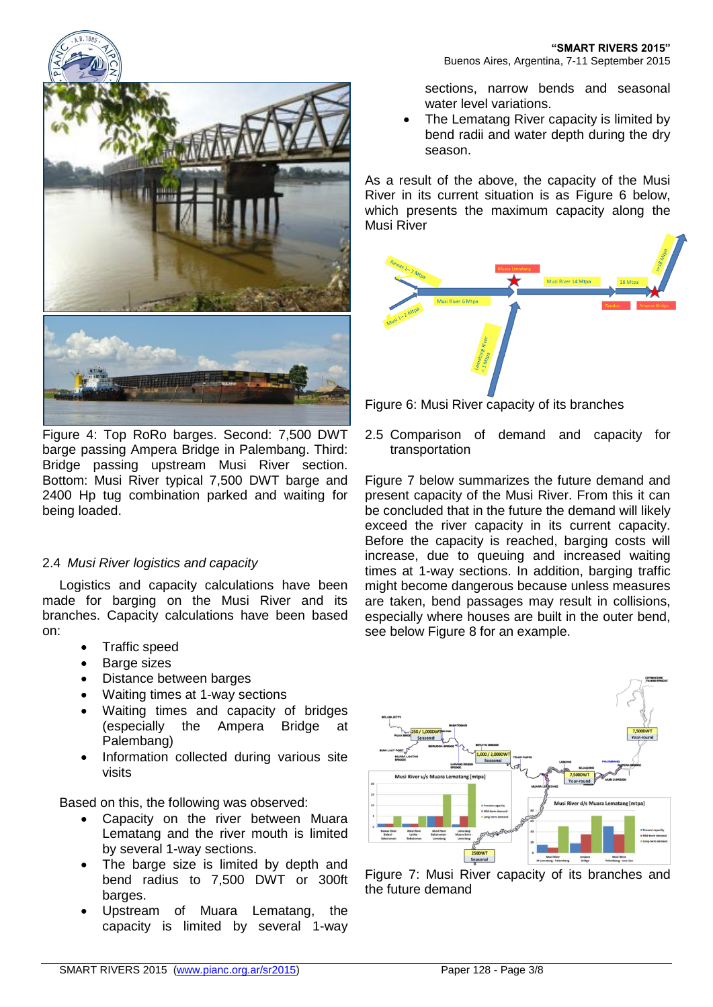

Figure 4: Top RoRo barges. Second: 7,500 DWT barge passing Ampera Bridge in Palembang. Third: Bridge passing upstream Musi River section. Bottom: Musi River typical 7,500 DWT barge and 2400 Hp tug combination parked and waiting for being loaded.

# 2.4 *Musi River logistics and capacity*

Logistics and capacity calculations have been made for barging on the Musi River and its branches. Capacity calculations have been based on:

- Traffic speed
- Barge sizes
- Distance between barges
- Waiting times at 1-way sections
- Waiting times and capacity of bridges (especially the Ampera Bridge at Palembang)
- Information collected during various site visits

Based on this, the following was observed:

- Capacity on the river between Muara Lematang and the river mouth is limited by several 1-way sections.
- The barge size is limited by depth and bend radius to 7,500 DWT or 300ft barges.
- Upstream of Muara Lematang, the capacity is limited by several 1-way

sections, narrow bends and seasonal water level variations.

 The Lematang River capacity is limited by bend radii and water depth during the dry season.

As a result of the above, the capacity of the Musi River in its current situation is as Figure 6 below, which presents the maximum capacity along the Musi River



Figure 6: Musi River capacity of its branches

2.5 Comparison of demand and capacity for transportation

Figure 7 below summarizes the future demand and present capacity of the Musi River. From this it can be concluded that in the future the demand will likely exceed the river capacity in its current capacity. Before the capacity is reached, barging costs will increase, due to queuing and increased waiting times at 1-way sections. In addition, barging traffic might become dangerous because unless measures are taken, bend passages may result in collisions, especially where houses are built in the outer bend, see below Figure 8 for an example.



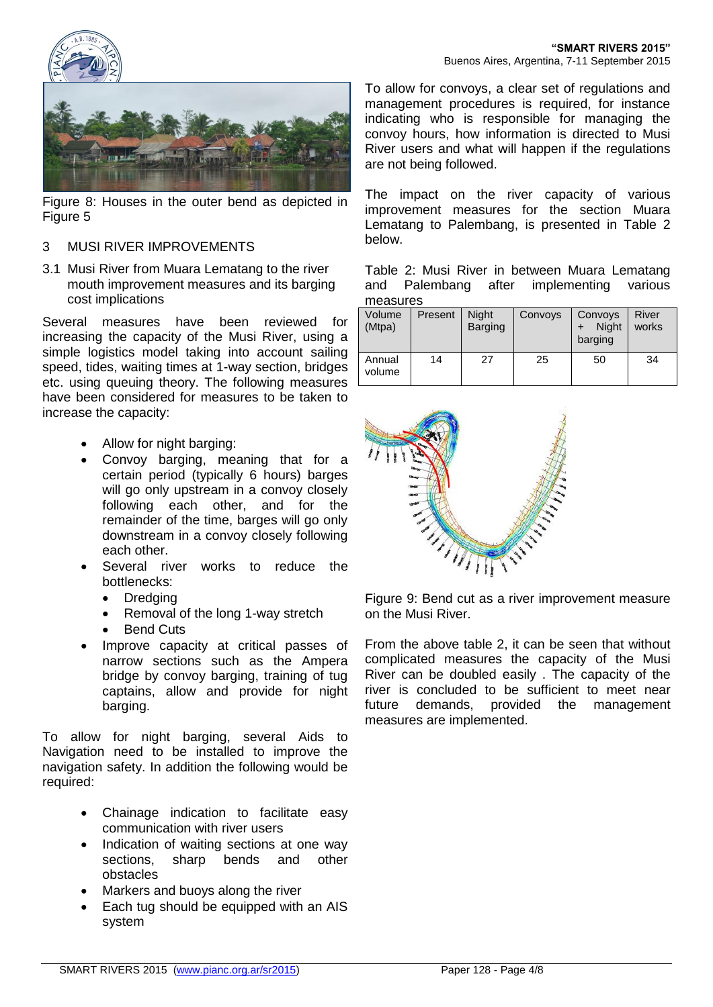



Figure 8: Houses in the outer bend as depicted in Figure 5

#### 3 MUSI RIVER IMPROVEMENTS

3.1 Musi River from Muara Lematang to the river mouth improvement measures and its barging cost implications

Several measures have been reviewed for increasing the capacity of the Musi River, using a simple logistics model taking into account sailing speed, tides, waiting times at 1-way section, bridges etc. using queuing theory. The following measures have been considered for measures to be taken to increase the capacity:

- Allow for night barging:
- Convoy barging, meaning that for a certain period (typically 6 hours) barges will go only upstream in a convoy closely following each other, and for the remainder of the time, barges will go only downstream in a convoy closely following each other.
- Several river works to reduce the bottlenecks:
	- Dredging
	- Removal of the long 1-way stretch
	- Bend Cuts
- Improve capacity at critical passes of narrow sections such as the Ampera bridge by convoy barging, training of tug captains, allow and provide for night barging.

To allow for night barging, several Aids to Navigation need to be installed to improve the navigation safety. In addition the following would be required:

- Chainage indication to facilitate easy communication with river users
- Indication of waiting sections at one way sections, sharp bends and other obstacles
- Markers and buoys along the river
- Each tug should be equipped with an AIS system

To allow for convoys, a clear set of regulations and management procedures is required, for instance indicating who is responsible for managing the convoy hours, how information is directed to Musi River users and what will happen if the regulations are not being followed.

The impact on the river capacity of various improvement measures for the section Muara Lematang to Palembang, is presented in Table 2 below.

Table 2: Musi River in between Muara Lematang and Palembang after implementing various measures

| Volume<br>(Mtpa) | Present | Night<br><b>Barging</b> | Convoys | Convoys<br><b>Night</b><br>barging | River<br>works |  |  |
|------------------|---------|-------------------------|---------|------------------------------------|----------------|--|--|
| Annual<br>volume | 14      | 27                      | 25      | 50                                 | 34             |  |  |



Figure 9: Bend cut as a river improvement measure on the Musi River.

From the above table 2, it can be seen that without complicated measures the capacity of the Musi River can be doubled easily . The capacity of the river is concluded to be sufficient to meet near future demands, provided the management measures are implemented.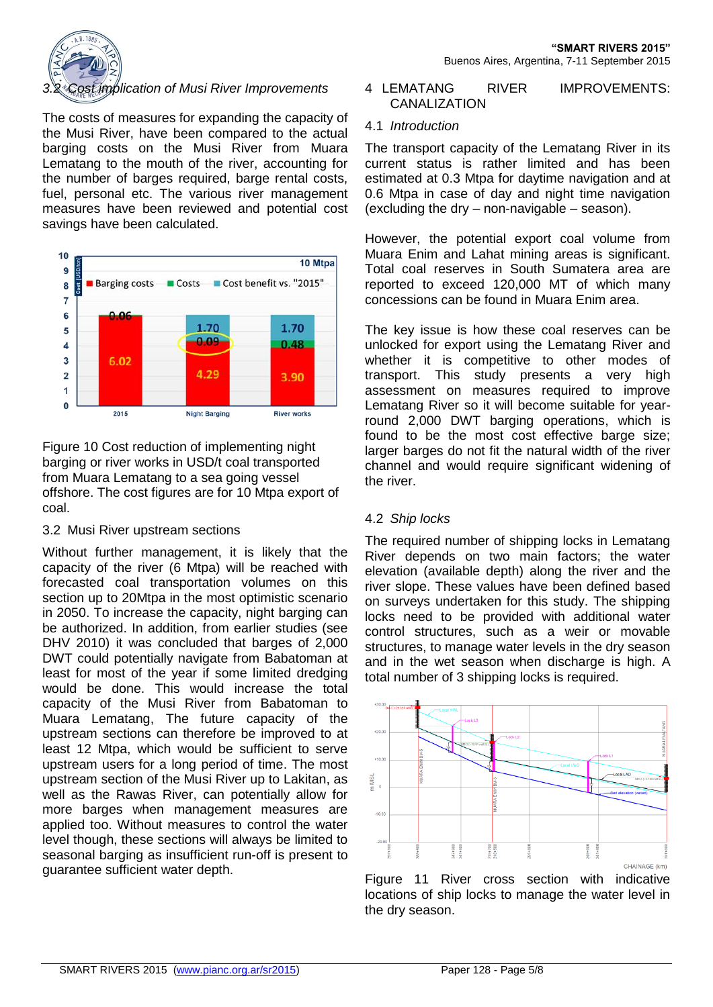

### *3.2 Cost implication of Musi River Improvements*

The costs of measures for expanding the capacity of the Musi River, have been compared to the actual barging costs on the Musi River from Muara Lematang to the mouth of the river, accounting for the number of barges required, barge rental costs, fuel, personal etc. The various river management measures have been reviewed and potential cost savings have been calculated.



Figure 10 Cost reduction of implementing night barging or river works in USD/t coal transported from Muara Lematang to a sea going vessel offshore. The cost figures are for 10 Mtpa export of coal.

### 3.2 Musi River upstream sections

Without further management, it is likely that the capacity of the river (6 Mtpa) will be reached with forecasted coal transportation volumes on this section up to 20Mtpa in the most optimistic scenario in 2050. To increase the capacity, night barging can be authorized. In addition, from earlier studies (see DHV 2010) it was concluded that barges of 2,000 DWT could potentially navigate from Babatoman at least for most of the year if some limited dredging would be done. This would increase the total capacity of the Musi River from Babatoman to Muara Lematang, The future capacity of the upstream sections can therefore be improved to at least 12 Mtpa, which would be sufficient to serve upstream users for a long period of time. The most upstream section of the Musi River up to Lakitan, as well as the Rawas River, can potentially allow for more barges when management measures are applied too. Without measures to control the water level though, these sections will always be limited to seasonal barging as insufficient run-off is present to guarantee sufficient water depth.

#### 4 LEMATANG RIVER IMPROVEMENTS: **CANALIZATION**

#### 4.1 *Introduction*

The transport capacity of the Lematang River in its current status is rather limited and has been estimated at 0.3 Mtpa for daytime navigation and at 0.6 Mtpa in case of day and night time navigation (excluding the dry – non-navigable – season).

However, the potential export coal volume from Muara Enim and Lahat mining areas is significant. Total coal reserves in South Sumatera area are reported to exceed 120,000 MT of which many concessions can be found in Muara Enim area.

The key issue is how these coal reserves can be unlocked for export using the Lematang River and whether it is competitive to other modes of transport. This study presents a very high assessment on measures required to improve Lematang River so it will become suitable for yearround 2,000 DWT barging operations, which is found to be the most cost effective barge size; larger barges do not fit the natural width of the river channel and would require significant widening of the river.

### 4.2 *Ship locks*

The required number of shipping locks in Lematang River depends on two main factors; the water elevation (available depth) along the river and the river slope. These values have been defined based on surveys undertaken for this study. The shipping locks need to be provided with additional water control structures, such as a weir or movable structures, to manage water levels in the dry season and in the wet season when discharge is high. A total number of 3 shipping locks is required.



Figure 11 River cross section with indicative locations of ship locks to manage the water level in the dry season.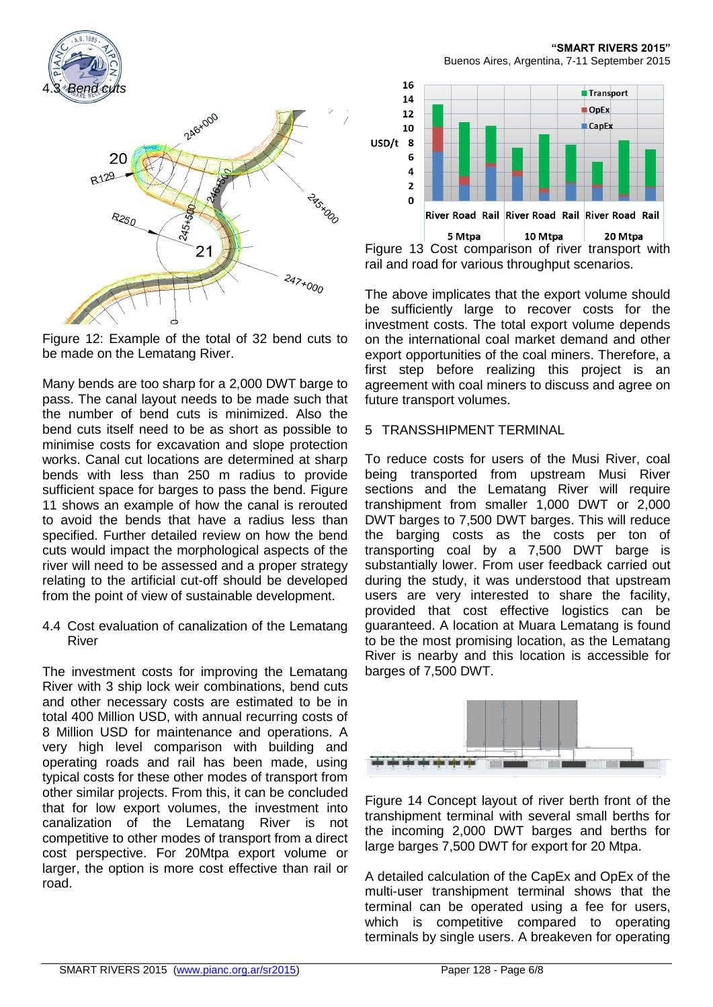

Figure 12: Example of the total of 32 bend cuts to be made on the Lematang River.

Many bends are too sharp for a 2,000 DWT barge to pass. The canal layout needs to be made such that the number of bend cuts is minimized. Also the bend cuts itself need to be as short as possible to minimise costs for excavation and slope protection works. Canal cut locations are determined at sharp bends with less than 250 m radius to provide sufficient space for barges to pass the bend. Figure 11 shows an example of how the canal is rerouted to avoid the bends that have a radius less than specified. Further detailed review on how the bend cuts would impact the morphological aspects of the river will need to be assessed and a proper strategy relating to the artificial cut-off should be developed from the point of view of sustainable development.

4.4 Cost evaluation of canalization of the Lematang River

The investment costs for improving the Lematang River with 3 ship lock weir combinations, bend cuts and other necessary costs are estimated to be in total 400 Million USD, with annual recurring costs of 8 Million USD for maintenance and operations. A very high level comparison with building and operating roads and rail has been made, using typical costs for these other modes of transport from other similar projects. From this, it can be concluded that for low export volumes, the investment into canalization of the Lematang River is not competitive to other modes of transport from a direct cost perspective. For 20Mtpa export volume or larger, the option is more cost effective than rail or road.

**"SMART RIVERS 2015"** Buenos Aires, Argentina, 7-11 September 2015



Figure 13 Cost comparison of river transport with rail and road for various throughput scenarios.

The above implicates that the export volume should be sufficiently large to recover costs for the investment costs. The total export volume depends on the international coal market demand and other export opportunities of the coal miners. Therefore, a first step before realizing this project is an agreement with coal miners to discuss and agree on future transport volumes.

### 5 TRANSSHIPMENT TERMINAL

To reduce costs for users of the Musi River, coal being transported from upstream Musi River sections and the Lematang River will require transhipment from smaller 1,000 DWT or 2,000 DWT barges to 7,500 DWT barges. This will reduce the barging costs as the costs per ton of transporting coal by a 7,500 DWT barge is substantially lower. From user feedback carried out during the study, it was understood that upstream users are very interested to share the facility, provided that cost effective logistics can be guaranteed. A location at Muara Lematang is found to be the most promising location, as the Lematang River is nearby and this location is accessible for barges of 7,500 DWT.



Figure 14 Concept layout of river berth front of the transhipment terminal with several small berths for the incoming 2,000 DWT barges and berths for large barges 7,500 DWT for export for 20 Mtpa.

A detailed calculation of the CapEx and OpEx of the multi-user transhipment terminal shows that the terminal can be operated using a fee for users, which is competitive compared to operating terminals by single users. A breakeven for operating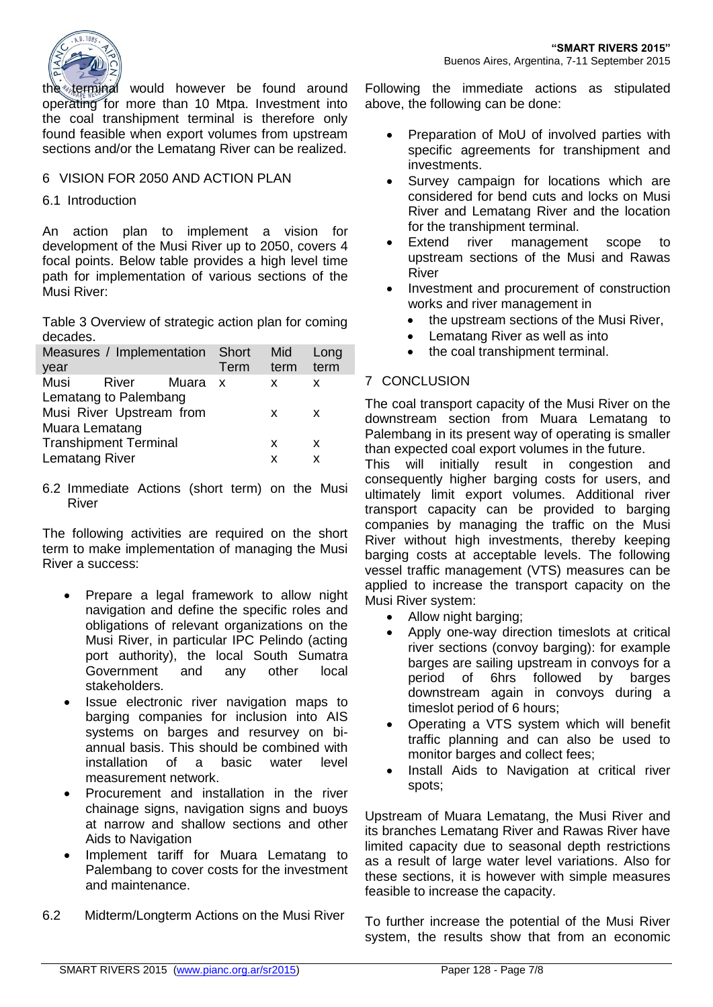

the terminal would however be found around operating for more than 10 Mtpa. Investment into the coal transhipment terminal is therefore only found feasible when export volumes from upstream sections and/or the Lematang River can be realized.

### 6 VISION FOR 2050 AND ACTION PLAN

6.1 Introduction

An action plan to implement a vision for development of the Musi River up to 2050, covers 4 focal points. Below table provides a high level time path for implementation of various sections of the Musi River:

Table 3 Overview of strategic action plan for coming decades.

| Measures / Implementation Short<br>year |                              |       | Term         | Mid<br>term | Long<br>term |  |  |
|-----------------------------------------|------------------------------|-------|--------------|-------------|--------------|--|--|
|                                         |                              |       |              |             |              |  |  |
| Musi                                    | River                        | Muara | $\mathbf{x}$ | x           | x            |  |  |
| Lematang to Palembang                   |                              |       |              |             |              |  |  |
| Musi River Upstream from                |                              |       |              | x           | x            |  |  |
| Muara Lematang                          |                              |       |              |             |              |  |  |
|                                         | <b>Transhipment Terminal</b> |       | x            | x           |              |  |  |
| Lematang River                          |                              |       | x            | х           |              |  |  |
|                                         |                              |       |              |             |              |  |  |

6.2 Immediate Actions (short term) on the Musi River

The following activities are required on the short term to make implementation of managing the Musi River a success:

- Prepare a legal framework to allow night navigation and define the specific roles and obligations of relevant organizations on the Musi River, in particular IPC Pelindo (acting port authority), the local South Sumatra Government and any other local stakeholders.
- Issue electronic river navigation maps to barging companies for inclusion into AIS systems on barges and resurvey on biannual basis. This should be combined with installation of a basic water level measurement network.
- Procurement and installation in the river chainage signs, navigation signs and buoys at narrow and shallow sections and other Aids to Navigation
- Implement tariff for Muara Lematang to Palembang to cover costs for the investment and maintenance.
- 6.2 Midterm/Longterm Actions on the Musi River

Following the immediate actions as stipulated above, the following can be done:

- Preparation of MoU of involved parties with specific agreements for transhipment and investments.
- Survey campaign for locations which are considered for bend cuts and locks on Musi River and Lematang River and the location for the transhipment terminal.
- Extend river management scope to upstream sections of the Musi and Rawas River
- Investment and procurement of construction works and river management in
	- the upstream sections of the Musi River,
	- Lematang River as well as into
	- the coal transhipment terminal.

# 7 CONCLUSION

The coal transport capacity of the Musi River on the downstream section from Muara Lematang to Palembang in its present way of operating is smaller than expected coal export volumes in the future.

This will initially result in congestion and consequently higher barging costs for users, and ultimately limit export volumes. Additional river transport capacity can be provided to barging companies by managing the traffic on the Musi River without high investments, thereby keeping barging costs at acceptable levels. The following vessel traffic management (VTS) measures can be applied to increase the transport capacity on the Musi River system:

- Allow night barging;
- Apply one-way direction timeslots at critical river sections (convoy barging): for example barges are sailing upstream in convoys for a period of 6hrs followed by barges downstream again in convoys during a timeslot period of 6 hours;
- Operating a VTS system which will benefit traffic planning and can also be used to monitor barges and collect fees;
- Install Aids to Navigation at critical river spots;

Upstream of Muara Lematang, the Musi River and its branches Lematang River and Rawas River have limited capacity due to seasonal depth restrictions as a result of large water level variations. Also for these sections, it is however with simple measures feasible to increase the capacity.

To further increase the potential of the Musi River system, the results show that from an economic